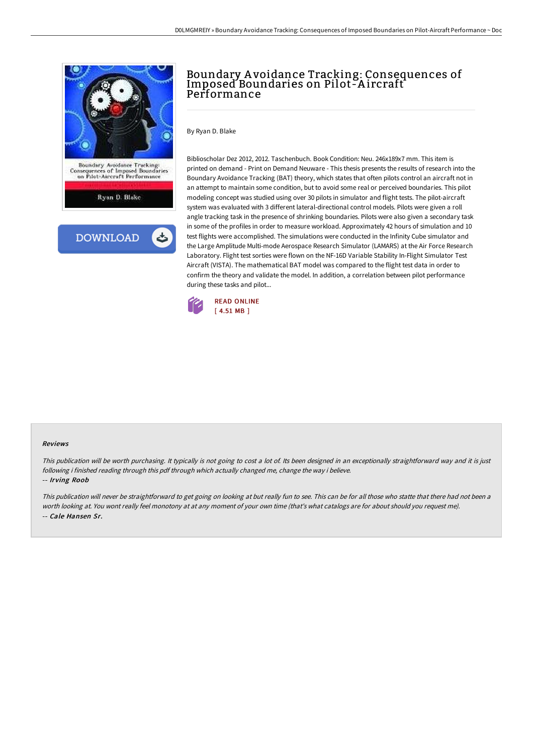

## Boundary A voidance Tracking: Consequences of Imposed Boundaries on Pilot-A ircraft Performance

By Ryan D. Blake

Biblioscholar Dez 2012, 2012. Taschenbuch. Book Condition: Neu. 246x189x7 mm. This item is printed on demand - Print on Demand Neuware - This thesis presents the results of research into the Boundary Avoidance Tracking (BAT) theory, which states that often pilots control an aircraft not in an attempt to maintain some condition, but to avoid some real or perceived boundaries. This pilot modeling concept was studied using over 30 pilots in simulator and flight tests. The pilot-aircraft system was evaluated with 3 different lateral-directional control models. Pilots were given a roll angle tracking task in the presence of shrinking boundaries. Pilots were also given a secondary task in some of the profiles in order to measure workload. Approximately 42 hours of simulation and 10 test flights were accomplished. The simulations were conducted in the Infinity Cube simulator and the Large Amplitude Multi-mode Aerospace Research Simulator (LAMARS) at the Air Force Research Laboratory. Flight test sorties were flown on the NF-16D Variable Stability In-Flight Simulator Test Aircraft (VISTA). The mathematical BAT model was compared to the flight test data in order to confirm the theory and validate the model. In addition, a correlation between pilot performance during these tasks and pilot...



## Reviews

This publication will be worth purchasing. It typically is not going to cost <sup>a</sup> lot of. Its been designed in an exceptionally straightforward way and it is just following i finished reading through this pdf through which actually changed me, change the way i believe.

-- Irving Roob

This publication will never be straightforward to get going on looking at but really fun to see. This can be for all those who statte that there had not been <sup>a</sup> worth looking at. You wont really feel monotony at at any moment of your own time (that's what catalogs are for about should you request me). -- Cale Hansen Sr.